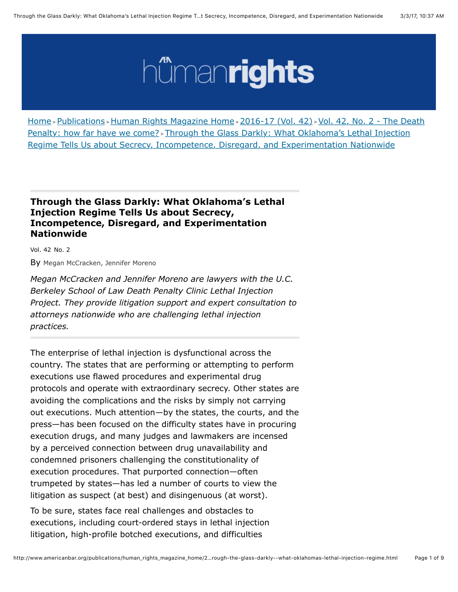# hümanrights

[Home](http://www.americanbar.org/content/aba.html) > [Publications](http://www.americanbar.org/content/aba/publications.html) > [Human Rights Magazine Home](http://www.americanbar.org/content/aba/publications/human_rights_magazine_home.html) > [2016-17 \(Vol. 42\)](http://www.americanbar.org/content/aba/publications/human_rights_magazine_home/2016-17--vol--42-.html) > Vol. 42, No. 2 - The Death Penalty: how far have we come? > [Through the Glass Darkly: What Oklahoma's Lethal Injection](http://www.americanbar.org/content/aba/publications/human_rights_magazine_home/2016-17--vol--42-/vol--42--no--2---the-death-penalty--how-far-have-we-come-.html) [Regime Tells Us about Secrecy, Incompetence, Disregard, and Experimentation Nationwide](http://www.americanbar.org/content/aba/publications/human_rights_magazine_home/2016-17--vol--42-/vol--42--no--2---the-death-penalty--how-far-have-we-come-/through-the-glass-darkly--what-oklahomas-lethal-injection-regime.html)

## **Through the Glass Darkly: What Oklahoma's Lethal Injection Regime Tells Us about Secrecy, Incompetence, Disregard, and Experimentation Nationwide**

Vol. 42 No. 2

By Megan McCracken, Jennifer Moreno

*Megan McCracken and Jennifer Moreno are lawyers with the U.C. Berkeley School of Law Death Penalty Clinic Lethal Injection Project. They provide litigation support and expert consultation to attorneys nationwide who are challenging lethal injection practices.*

The enterprise of lethal injection is dysfunctional across the country. The states that are performing or attempting to perform executions use flawed procedures and experimental drug protocols and operate with extraordinary secrecy. Other states are avoiding the complications and the risks by simply not carrying out executions. Much attention—by the states, the courts, and the press—has been focused on the difficulty states have in procuring execution drugs, and many judges and lawmakers are incensed by a perceived connection between drug unavailability and condemned prisoners challenging the constitutionality of execution procedures. That purported connection—often trumpeted by states—has led a number of courts to view the litigation as suspect (at best) and disingenuous (at worst).

To be sure, states face real challenges and obstacles to executions, including court-ordered stays in lethal injection litigation, high-profile botched executions, and difficulties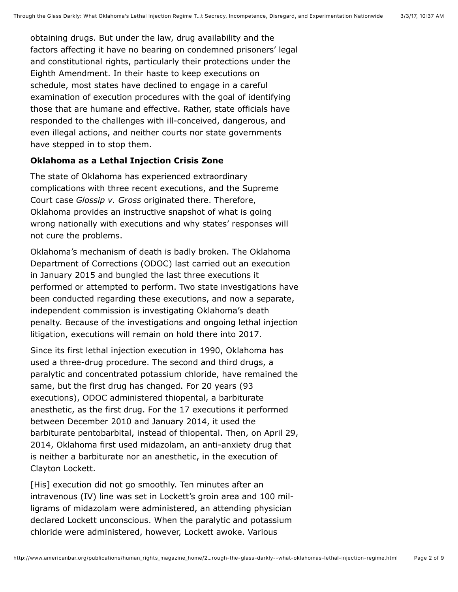obtaining drugs. But under the law, drug availability and the factors affecting it have no bearing on condemned prisoners' legal and constitutional rights, particularly their protections under the Eighth Amendment. In their haste to keep executions on schedule, most states have declined to engage in a careful examination of execution procedures with the goal of identifying those that are humane and effective. Rather, state officials have responded to the challenges with ill-conceived, dangerous, and even illegal actions, and neither courts nor state governments have stepped in to stop them.

#### **Oklahoma as a Lethal Injection Crisis Zone**

The state of Oklahoma has experienced extraordinary complications with three recent executions, and the Supreme Court case *Glossip v. Gross* originated there. Therefore, Oklahoma provides an instructive snapshot of what is going wrong nationally with executions and why states' responses will not cure the problems.

Oklahoma's mechanism of death is badly broken. The Oklahoma Department of Corrections (ODOC) last carried out an execution in January 2015 and bungled the last three executions it performed or attempted to perform. Two state investigations have been conducted regarding these executions, and now a separate, independent commission is investigating Oklahoma's death penalty. Because of the investigations and ongoing lethal injection litigation, executions will remain on hold there into 2017.

Since its first lethal injection execution in 1990, Oklahoma has used a three-drug procedure. The second and third drugs, a paralytic and concentrated potassium chloride, have remained the same, but the first drug has changed. For 20 years (93 executions), ODOC administered thiopental, a barbiturate anesthetic, as the first drug. For the 17 executions it performed between December 2010 and January 2014, it used the barbiturate pentobarbital, instead of thiopental. Then, on April 29, 2014, Oklahoma first used midazolam, an anti-anxiety drug that is neither a barbiturate nor an anesthetic, in the execution of Clayton Lockett.

[His] execution did not go smoothly. Ten minutes after an intravenous (IV) line was set in Lockett's groin area and 100 milligrams of midazolam were administered, an attending physician declared Lockett unconscious. When the paralytic and potassium chloride were administered, however, Lockett awoke. Various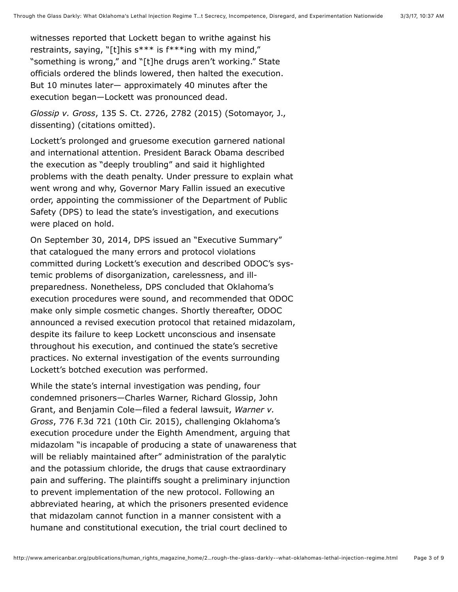witnesses reported that Lockett began to writhe against his restraints, saying, "[t]his s\*\*\* is f\*\*\*ing with my mind," "something is wrong," and "[t]he drugs aren't working." State officials ordered the blinds lowered, then halted the execution. But 10 minutes later— approximately 40 minutes after the execution began—Lockett was pronounced dead.

*Glossip v. Gross*, 135 S. Ct. 2726, 2782 (2015) (Sotomayor, J., dissenting) (citations omitted).

Lockett's prolonged and gruesome execution garnered national and international attention. President Barack Obama described the execution as "deeply troubling" and said it highlighted problems with the death penalty. Under pressure to explain what went wrong and why, Governor Mary Fallin issued an executive order, appointing the commissioner of the Department of Public Safety (DPS) to lead the state's investigation, and executions were placed on hold.

On September 30, 2014, DPS issued an "Executive Summary" that catalogued the many errors and protocol violations committed during Lockett's execution and described ODOC's systemic problems of disorganization, carelessness, and illpreparedness. Nonetheless, DPS concluded that Oklahoma's execution procedures were sound, and recommended that ODOC make only simple cosmetic changes. Shortly thereafter, ODOC announced a revised execution protocol that retained midazolam, despite its failure to keep Lockett unconscious and insensate throughout his execution, and continued the state's secretive practices. No external investigation of the events surrounding Lockett's botched execution was performed.

While the state's internal investigation was pending, four condemned prisoners—Charles Warner, Richard Glossip, John Grant, and Benjamin Cole—filed a federal lawsuit, *Warner v. Gross*, 776 F.3d 721 (10th Cir. 2015), challenging Oklahoma's execution procedure under the Eighth Amendment, arguing that midazolam "is incapable of producing a state of unawareness that will be reliably maintained after" administration of the paralytic and the potassium chloride, the drugs that cause extraordinary pain and suffering. The plaintiffs sought a preliminary injunction to prevent implementation of the new protocol. Following an abbreviated hearing, at which the prisoners presented evidence that midazolam cannot function in a manner consistent with a humane and constitutional execution, the trial court declined to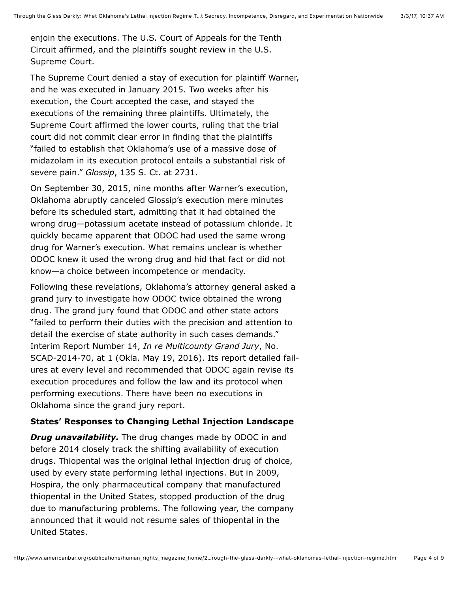enjoin the executions. The U.S. Court of Appeals for the Tenth Circuit affirmed, and the plaintiffs sought review in the U.S. Supreme Court.

The Supreme Court denied a stay of execution for plaintiff Warner, and he was executed in January 2015. Two weeks after his execution, the Court accepted the case, and stayed the executions of the remaining three plaintiffs. Ultimately, the Supreme Court affirmed the lower courts, ruling that the trial court did not commit clear error in finding that the plaintiffs "failed to establish that Oklahoma's use of a massive dose of midazolam in its execution protocol entails a substantial risk of severe pain." *Glossip*, 135 S. Ct. at 2731.

On September 30, 2015, nine months after Warner's execution, Oklahoma abruptly canceled Glossip's execution mere minutes before its scheduled start, admitting that it had obtained the wrong drug—potassium acetate instead of potassium chloride. It quickly became apparent that ODOC had used the same wrong drug for Warner's execution. What remains unclear is whether ODOC knew it used the wrong drug and hid that fact or did not know—a choice between incompetence or mendacity.

Following these revelations, Oklahoma's attorney general asked a grand jury to investigate how ODOC twice obtained the wrong drug. The grand jury found that ODOC and other state actors "failed to perform their duties with the precision and attention to detail the exercise of state authority in such cases demands." Interim Report Number 14, *In re Multicounty Grand Jury*, No. SCAD-2014-70, at 1 (Okla. May 19, 2016). Its report detailed failures at every level and recommended that ODOC again revise its execution procedures and follow the law and its protocol when performing executions. There have been no executions in Oklahoma since the grand jury report.

### **States' Responses to Changing Lethal Injection Landscape**

*Drug unavailability.* The drug changes made by ODOC in and before 2014 closely track the shifting availability of execution drugs. Thiopental was the original lethal injection drug of choice, used by every state performing lethal injections. But in 2009, Hospira, the only pharmaceutical company that manufactured thiopental in the United States, stopped production of the drug due to manufacturing problems. The following year, the company announced that it would not resume sales of thiopental in the United States.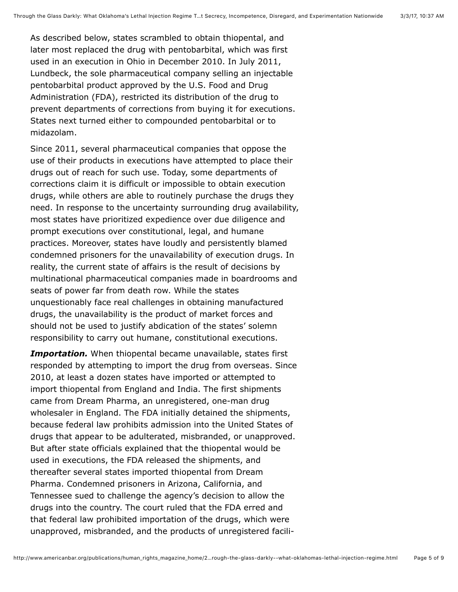As described below, states scrambled to obtain thiopental, and later most replaced the drug with pentobarbital, which was first used in an execution in Ohio in December 2010. In July 2011, Lundbeck, the sole pharmaceutical company selling an injectable pentobarbital product approved by the U.S. Food and Drug Administration (FDA), restricted its distribution of the drug to prevent departments of corrections from buying it for executions. States next turned either to compounded pentobarbital or to midazolam.

Since 2011, several pharmaceutical companies that oppose the use of their products in executions have attempted to place their drugs out of reach for such use. Today, some departments of corrections claim it is difficult or impossible to obtain execution drugs, while others are able to routinely purchase the drugs they need. In response to the uncertainty surrounding drug availability, most states have prioritized expedience over due diligence and prompt executions over constitutional, legal, and humane practices. Moreover, states have loudly and persistently blamed condemned prisoners for the unavailability of execution drugs. In reality, the current state of affairs is the result of decisions by multinational pharmaceutical companies made in boardrooms and seats of power far from death row. While the states unquestionably face real challenges in obtaining manufactured drugs, the unavailability is the product of market forces and should not be used to justify abdication of the states' solemn responsibility to carry out humane, constitutional executions.

*Importation.* When thiopental became unavailable, states first responded by attempting to import the drug from overseas. Since 2010, at least a dozen states have imported or attempted to import thiopental from England and India. The first shipments came from Dream Pharma, an unregistered, one-man drug wholesaler in England. The FDA initially detained the shipments, because federal law prohibits admission into the United States of drugs that appear to be adulterated, misbranded, or unapproved. But after state officials explained that the thiopental would be used in executions, the FDA released the shipments, and thereafter several states imported thiopental from Dream Pharma. Condemned prisoners in Arizona, California, and Tennessee sued to challenge the agency's decision to allow the drugs into the country. The court ruled that the FDA erred and that federal law prohibited importation of the drugs, which were unapproved, misbranded, and the products of unregistered facili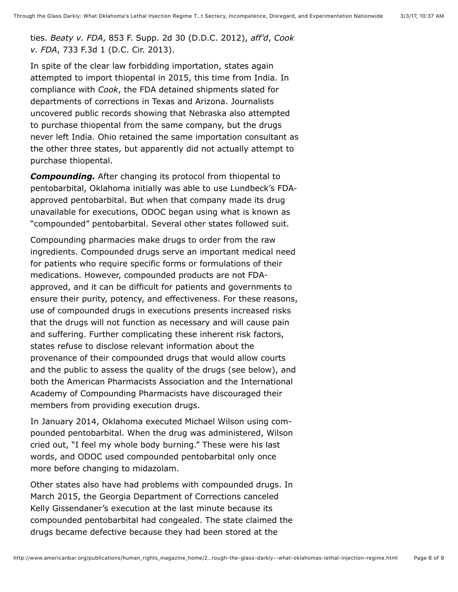ties. *Beaty v. FDA*, 853 F. Supp. 2d 30 (D.D.C. 2012), *aff'd*, *Cook v. FDA*, 733 F.3d 1 (D.C. Cir. 2013).

In spite of the clear law forbidding importation, states again attempted to import thiopental in 2015, this time from India. In compliance with *Cook*, the FDA detained shipments slated for departments of corrections in Texas and Arizona. Journalists uncovered public records showing that Nebraska also attempted to purchase thiopental from the same company, but the drugs never left India. Ohio retained the same importation consultant as the other three states, but apparently did not actually attempt to purchase thiopental.

*Compounding.* After changing its protocol from thiopental to pentobarbital, Oklahoma initially was able to use Lundbeck's FDAapproved pentobarbital. But when that company made its drug unavailable for executions, ODOC began using what is known as "compounded" pentobarbital. Several other states followed suit.

Compounding pharmacies make drugs to order from the raw ingredients. Compounded drugs serve an important medical need for patients who require specific forms or formulations of their medications. However, compounded products are not FDAapproved, and it can be difficult for patients and governments to ensure their purity, potency, and effectiveness. For these reasons, use of compounded drugs in executions presents increased risks that the drugs will not function as necessary and will cause pain and suffering. Further complicating these inherent risk factors, states refuse to disclose relevant information about the provenance of their compounded drugs that would allow courts and the public to assess the quality of the drugs (see below), and both the American Pharmacists Association and the International Academy of Compounding Pharmacists have discouraged their members from providing execution drugs.

In January 2014, Oklahoma executed Michael Wilson using compounded pentobarbital. When the drug was administered, Wilson cried out, "I feel my whole body burning." These were his last words, and ODOC used compounded pentobarbital only once more before changing to midazolam.

Other states also have had problems with compounded drugs. In March 2015, the Georgia Department of Corrections canceled Kelly Gissendaner's execution at the last minute because its compounded pentobarbital had congealed. The state claimed the drugs became defective because they had been stored at the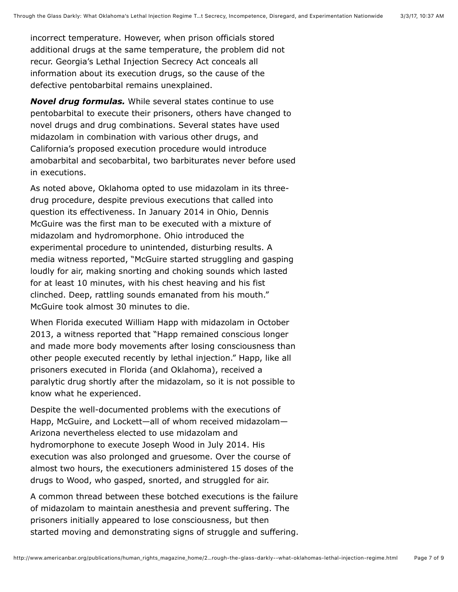incorrect temperature. However, when prison officials stored additional drugs at the same temperature, the problem did not recur. Georgia's Lethal Injection Secrecy Act conceals all information about its execution drugs, so the cause of the defective pentobarbital remains unexplained.

*Novel drug formulas.* While several states continue to use pentobarbital to execute their prisoners, others have changed to novel drugs and drug combinations. Several states have used midazolam in combination with various other drugs, and California's proposed execution procedure would introduce amobarbital and secobarbital, two barbiturates never before used in executions.

As noted above, Oklahoma opted to use midazolam in its threedrug procedure, despite previous executions that called into question its effectiveness. In January 2014 in Ohio, Dennis McGuire was the first man to be executed with a mixture of midazolam and hydromorphone. Ohio introduced the experimental procedure to unintended, disturbing results. A media witness reported, "McGuire started struggling and gasping loudly for air, making snorting and choking sounds which lasted for at least 10 minutes, with his chest heaving and his fist clinched. Deep, rattling sounds emanated from his mouth." McGuire took almost 30 minutes to die.

When Florida executed William Happ with midazolam in October 2013, a witness reported that "Happ remained conscious longer and made more body movements after losing consciousness than other people executed recently by lethal injection." Happ, like all prisoners executed in Florida (and Oklahoma), received a paralytic drug shortly after the midazolam, so it is not possible to know what he experienced.

Despite the well-documented problems with the executions of Happ, McGuire, and Lockett—all of whom received midazolam— Arizona nevertheless elected to use midazolam and hydromorphone to execute Joseph Wood in July 2014. His execution was also prolonged and gruesome. Over the course of almost two hours, the executioners administered 15 doses of the drugs to Wood, who gasped, snorted, and struggled for air.

A common thread between these botched executions is the failure of midazolam to maintain anesthesia and prevent suffering. The prisoners initially appeared to lose consciousness, but then started moving and demonstrating signs of struggle and suffering.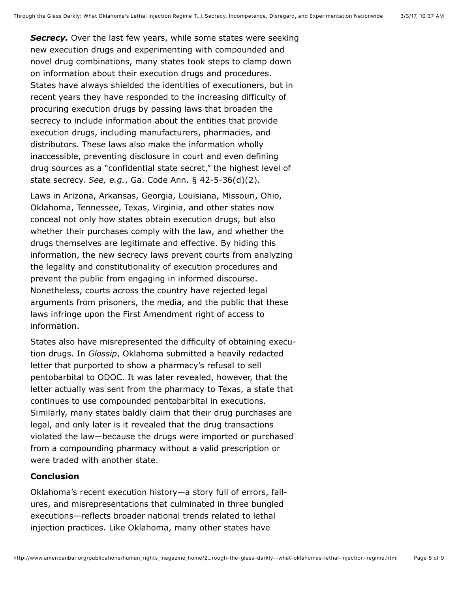**Secrecy.** Over the last few years, while some states were seeking new execution drugs and experimenting with compounded and novel drug combinations, many states took steps to clamp down on information about their execution drugs and procedures. States have always shielded the identities of executioners, but in recent years they have responded to the increasing difficulty of procuring execution drugs by passing laws that broaden the secrecy to include information about the entities that provide execution drugs, including manufacturers, pharmacies, and distributors. These laws also make the information wholly inaccessible, preventing disclosure in court and even defining drug sources as a "confidential state secret," the highest level of state secrecy. *See, e.g.*, Ga. Code Ann. § 42-5-36(d)(2).

Laws in Arizona, Arkansas, Georgia, Louisiana, Missouri, Ohio, Oklahoma, Tennessee, Texas, Virginia, and other states now conceal not only how states obtain execution drugs, but also whether their purchases comply with the law, and whether the drugs themselves are legitimate and effective. By hiding this information, the new secrecy laws prevent courts from analyzing the legality and constitutionality of execution procedures and prevent the public from engaging in informed discourse. Nonetheless, courts across the country have rejected legal arguments from prisoners, the media, and the public that these laws infringe upon the First Amendment right of access to information.

States also have misrepresented the difficulty of obtaining execution drugs. In *Glossip*, Oklahoma submitted a heavily redacted letter that purported to show a pharmacy's refusal to sell pentobarbital to ODOC. It was later revealed, however, that the letter actually was sent from the pharmacy to Texas, a state that continues to use compounded pentobarbital in executions. Similarly, many states baldly claim that their drug purchases are legal, and only later is it revealed that the drug transactions violated the law—because the drugs were imported or purchased from a compounding pharmacy without a valid prescription or were traded with another state.

#### **Conclusion**

Oklahoma's recent execution history—a story full of errors, failures, and misrepresentations that culminated in three bungled executions—reflects broader national trends related to lethal injection practices. Like Oklahoma, many other states have